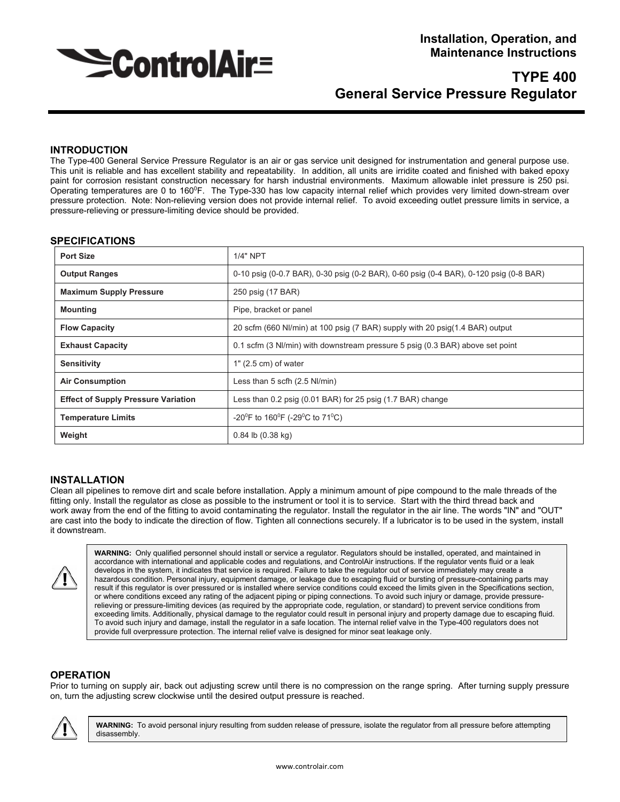

# **TYPE 400 General Service Pressure Regulator**

# **INTRODUCTION**

The Type-400 General Service Pressure Regulator is an air or gas service unit designed for instrumentation and general purpose use. This unit is reliable and has excellent stability and repeatability. In addition, all units are irridite coated and finished with baked epoxy paint for corrosion resistant construction necessary for harsh industrial environments. Maximum allowable inlet pressure is 250 psi. Operating temperatures are 0 to 1600F. The Type-330 has low capacity internal relief which provides very limited down-stream over pressure protection. Note: Non-relieving version does not provide internal relief. To avoid exceeding outlet pressure limits in service, a pressure-relieving or pressure-limiting device should be provided.

#### **SPECIFICATIONS**

| <b>Port Size</b>                           | $1/4"$ NPT                                                                            |  |
|--------------------------------------------|---------------------------------------------------------------------------------------|--|
| <b>Output Ranges</b>                       | 0-10 psig (0-0.7 BAR), 0-30 psig (0-2 BAR), 0-60 psig (0-4 BAR), 0-120 psig (0-8 BAR) |  |
| <b>Maximum Supply Pressure</b>             | 250 psig (17 BAR)                                                                     |  |
| <b>Mounting</b>                            | Pipe, bracket or panel                                                                |  |
| <b>Flow Capacity</b>                       | 20 scfm (660 Nl/min) at 100 psig (7 BAR) supply with 20 psig(1.4 BAR) output          |  |
| <b>Exhaust Capacity</b>                    | 0.1 scfm (3 NI/min) with downstream pressure 5 psig (0.3 BAR) above set point         |  |
| <b>Sensitivity</b>                         | $1"$ (2.5 cm) of water                                                                |  |
| <b>Air Consumption</b>                     | Less than 5 scfh (2.5 Nl/min)                                                         |  |
| <b>Effect of Supply Pressure Variation</b> | Less than 0.2 psig (0.01 BAR) for 25 psig (1.7 BAR) change                            |  |
| <b>Temperature Limits</b>                  | -20 <sup>°</sup> F to 160 <sup>°</sup> F (-29 <sup>°</sup> C to 71 <sup>°</sup> C)    |  |
| Weight                                     | $0.84$ lb $(0.38$ kg)                                                                 |  |

## **INSTALLATION**

Clean all pipelines to remove dirt and scale before installation. Apply a minimum amount of pipe compound to the male threads of the fitting only. Install the regulator as close as possible to the instrument or tool it is to service. Start with the third thread back and work away from the end of the fitting to avoid contaminating the regulator. Install the regulator in the air line. The words "IN" and "OUT" are cast into the body to indicate the direction of flow. Tighten all connections securely. If a lubricator is to be used in the system, install it downstream.



**WARNING:** Only qualified personnel should install or service a regulator. Regulators should be installed, operated, and maintained in accordance with international and applicable codes and regulations, and ControlAir instructions. If the regulator vents fluid or a leak develops in the system, it indicates that service is required. Failure to take the regulator out of service immediately may create a hazardous condition. Personal injury, equipment damage, or leakage due to escaping fluid or bursting of pressure-containing parts may result if this regulator is over pressured or is installed where service conditions could exceed the limits given in the Specifications section, or where conditions exceed any rating of the adjacent piping or piping connections. To avoid such injury or damage, provide pressurerelieving or pressure-limiting devices (as required by the appropriate code, regulation, or standard) to prevent service conditions from exceeding limits. Additionally, physical damage to the regulator could result in personal injury and property damage due to escaping fluid. To avoid such injury and damage, install the regulator in a safe location. The internal relief valve in the Type-400 regulators does not provide full overpressure protection. The internal relief valve is designed for minor seat leakage only.

#### **OPERATION**

Prior to turning on supply air, back out adjusting screw until there is no compression on the range spring. After turning supply pressure on, turn the adjusting screw clockwise until the desired output pressure is reached.



**WARNING:** To avoid personal injury resulting from sudden release of pressure, isolate the regulator from all pressure before attempting disassembly.